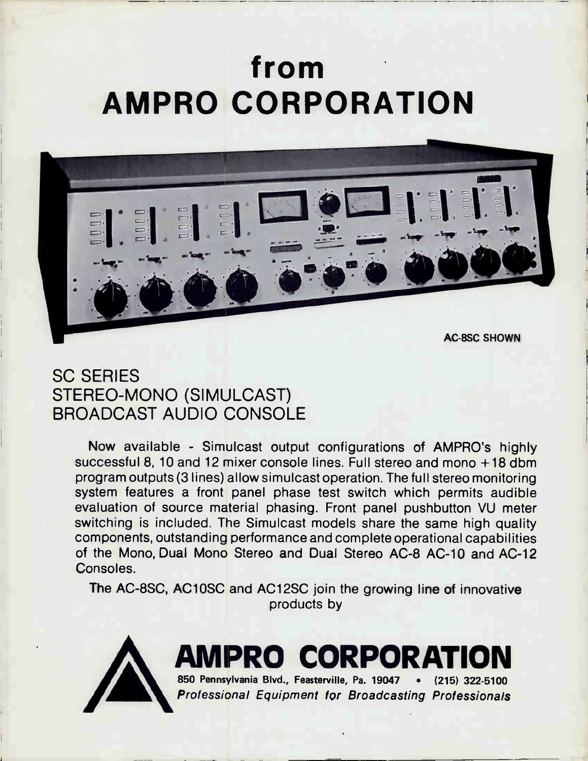# from AMPRO CORPORATION



## SC SERIES STEREO-MONO (SIMULCAST) BROADCAST AUDIO CONSOLE

Now available - Simulcast output configurations of AMPRO's highly successful 8, 10 and 12 mixer console lines. Full stereo and mono +18 dbm program outputs (3 lines) allow simulcast operation. The full stereo monitoring system features a front panel phase test switch which permits audible evaluation of source material phasing. Front panel pushbutton VU meter switching is included. The Simulcast models share the same high quality components, outstanding performance and complete operational capabilities of the Mono, Dual Mono Stereo and Dual Stereo AC-8 AC-10 and AC-12 Consoles.

The AC-8SC, AC1OSC and AC12SC join the growing line of innovative products by



AMPRO CORPORATION 850 Pennsylvania Blvd., Feasterville, Pa. 19047 • (215) 322-5100

Professional Equipment for Broadcasting Professionals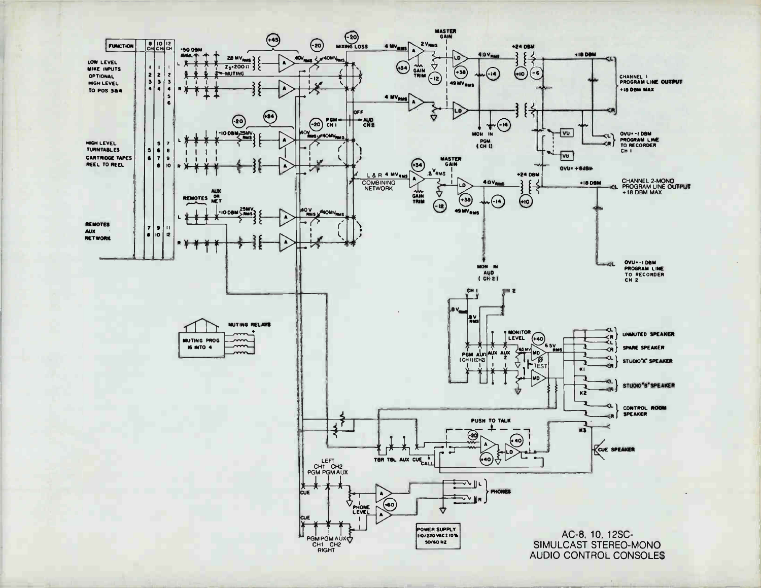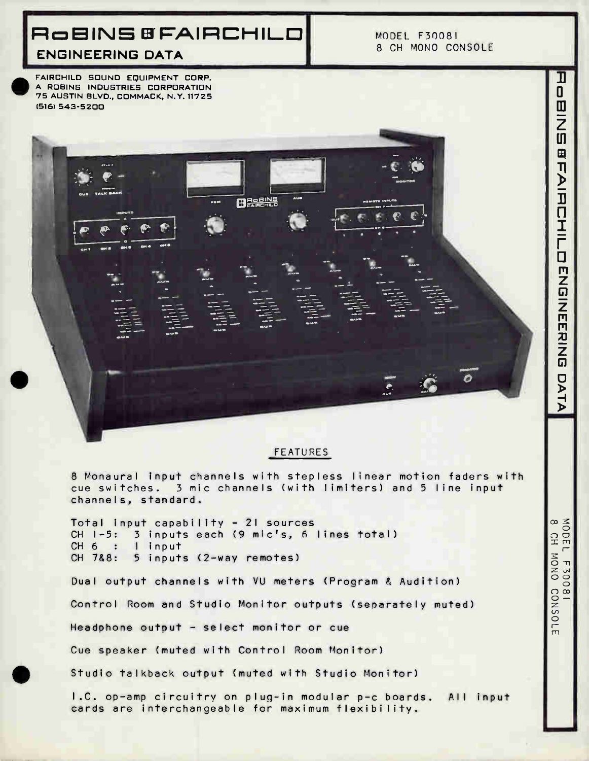## RoBINS 8 FAIRCHILD

MODEL F30081 8 CH MONO CONSOLE

n

 $\cdot$ 

ENGINEERING DATA

•

FAIRCHILD SOUND EQUIPMENT CORP. A ROBINS INDUSTRIES CORPORATION 75 AUSTIN BLVD., COMMACK, N.Y. 11725 (516) 543-5200

#### **FEATURES**

8 Monaural input channels with stepless linear motion faders with cue switches. 3 mic channels (with limiters) and 5 line input channels, standard.

Total input capability - 21 sources CH 1-5: 3 inputs each (9 mic's, 6 lines total) CH 6 : I input CH 7&8: 5 inputs (2-way remotes)

Dual output channels with VU meters (Program & Audition)

BERENS

Control Room and Studio Monitor outputs (separately muted)

Headphone output - select monitor or cue

Cue speaker (muted with Control Room Monitor)

Studio talkback output (muted with Studio Monitor)

I.C. op-amp circuitry on plug-in modular p-c boards. All input cards are interchangeable for maximum flexibility.

**NODEI**  $\Gamma$ 

**ONOW**  $\mathbf{\tau}$ 1300

CONSOLE

 $\infty$ 

T  $\mathbf 0$